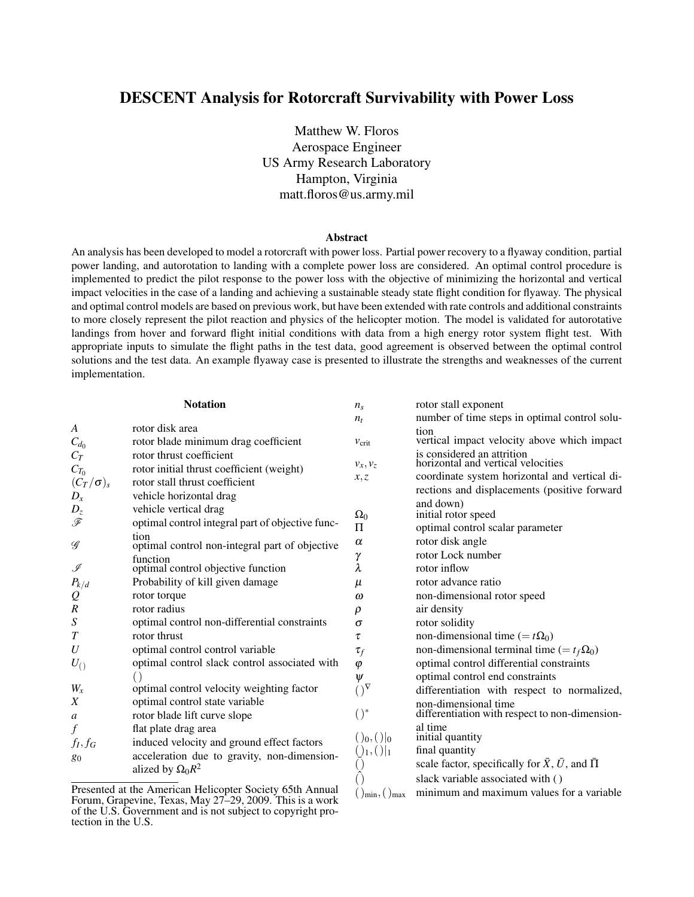# DESCENT Analysis for Rotorcraft Survivability with Power Loss

Matthew W. Floros Aerospace Engineer US Army Research Laboratory Hampton, Virginia matt.floros@us.army.mil

## Abstract

An analysis has been developed to model a rotorcraft with power loss. Partial power recovery to a flyaway condition, partial power landing, and autorotation to landing with a complete power loss are considered. An optimal control procedure is implemented to predict the pilot response to the power loss with the objective of minimizing the horizontal and vertical impact velocities in the case of a landing and achieving a sustainable steady state flight condition for flyaway. The physical and optimal control models are based on previous work, but have been extended with rate controls and additional constraints to more closely represent the pilot reaction and physics of the helicopter motion. The model is validated for autorotative landings from hover and forward flight initial conditions with data from a high energy rotor system flight test. With appropriate inputs to simulate the flight paths in the test data, good agreement is observed between the optimal control solutions and the test data. An example flyaway case is presented to illustrate the strengths and weaknesses of the current implementation.

| <b>Notation</b>                                          |                                                                           | $n_{\rm s}$                                 | rotor stall exponent                                                                          |  |
|----------------------------------------------------------|---------------------------------------------------------------------------|---------------------------------------------|-----------------------------------------------------------------------------------------------|--|
|                                                          |                                                                           | $n_t$                                       | number of time steps in optimal control solu-                                                 |  |
| A<br>$C_{d_0}$                                           | rotor disk area<br>rotor blade minimum drag coefficient                   | $v_{\rm crit}$                              | tion<br>vertical impact velocity above which impact                                           |  |
| $C_T$<br>$C_{T_0}$                                       | rotor thrust coefficient<br>rotor initial thrust coefficient (weight)     | $v_x, v_z$                                  | is considered an attrition<br>horizontal and vertical velocities                              |  |
| $(C_T/\sigma)_{s}$<br>$D_x$                              | rotor stall thrust coefficient<br>vehicle horizontal drag                 | x, z                                        | coordinate system horizontal and vertical di-<br>rections and displacements (positive forward |  |
| $D_z$<br>F                                               | vehicle vertical drag<br>optimal control integral part of objective func- | $\Omega_0$<br>Π                             | and down)<br>initial rotor speed                                                              |  |
| $\mathscr G$                                             | tion<br>optimal control non-integral part of objective                    | $\alpha$<br>γ                               | optimal control scalar parameter<br>rotor disk angle<br>rotor Lock number                     |  |
| ℐ                                                        | function<br>optimal control objective function                            | λ                                           | rotor inflow                                                                                  |  |
| $P_{k/d}$<br>${\cal Q}$                                  | Probability of kill given damage<br>rotor torque                          | μ<br>$\omega$                               | rotor advance ratio<br>non-dimensional rotor speed                                            |  |
| $\boldsymbol{R}$                                         | rotor radius                                                              | $\rho$                                      | air density                                                                                   |  |
| $\boldsymbol{S}$                                         | optimal control non-differential constraints                              | $\sigma$                                    | rotor solidity                                                                                |  |
| $\boldsymbol{T}$                                         | rotor thrust                                                              | τ                                           | non-dimensional time (= $t\Omega_0$ )                                                         |  |
| U                                                        | optimal control control variable                                          | $\tau_f$                                    | non-dimensional terminal time (= $t_f \Omega_0$ )                                             |  |
| $U_{()}$                                                 | optimal control slack control associated with                             | $\varphi$                                   | optimal control differential constraints                                                      |  |
|                                                          |                                                                           | $\psi$                                      | optimal control end constraints                                                               |  |
| $W_x$                                                    | optimal control velocity weighting factor                                 | $()^{\nabla}$                               | differentiation with respect to normalized,                                                   |  |
| X<br>a                                                   | optimal control state variable<br>rotor blade lift curve slope            | $()^*$                                      | non-dimensional time<br>differentiation with respect to non-dimension-                        |  |
| f<br>$f_I, f_G$                                          | flat plate drag area<br>induced velocity and ground effect factors        | $()_0, () _0$                               | al time<br>initial quantity                                                                   |  |
| 80                                                       | acceleration due to gravity, non-dimension-<br>alized by $\Omega_0 R^2$   | $()_1, () _1$                               | final quantity<br>scale factor, specifically for $\bar{X}$ , $\bar{U}$ , and $\bar{\Pi}$      |  |
| Presented at the American Helicopter Society 65th Annual |                                                                           | $\lim_{m \to \infty}$ $\lim_{m \to \infty}$ | slack variable associated with ()<br>minimum and maximum values for a variable                |  |

Presented at the American Helicopter Society 65th Annual Forum, Grapevine, Texas, May 27–29, 2009. This is a work of the U.S. Government and is not subject to copyright protection in the U.S.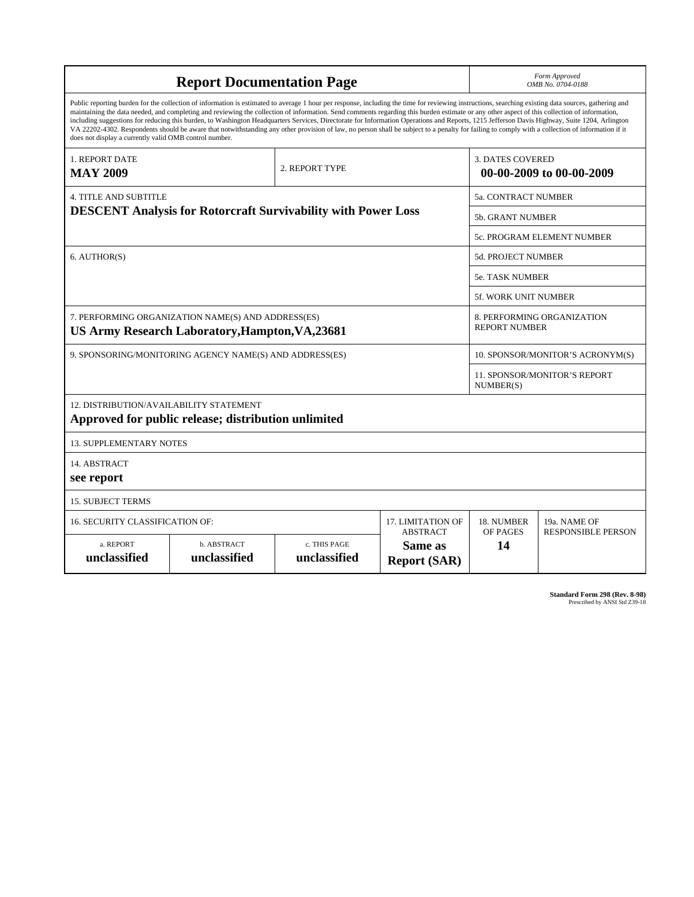|                                                                                                                                                                                                                                                                                                                                                                                                                                                                                                                                                                                                                                                                                                                                                                                                                                                                    | <b>Report Documentation Page</b>                                                                      | Form Approved<br>OMB No. 0704-0188                 |                                |                                                     |  |  |  |
|--------------------------------------------------------------------------------------------------------------------------------------------------------------------------------------------------------------------------------------------------------------------------------------------------------------------------------------------------------------------------------------------------------------------------------------------------------------------------------------------------------------------------------------------------------------------------------------------------------------------------------------------------------------------------------------------------------------------------------------------------------------------------------------------------------------------------------------------------------------------|-------------------------------------------------------------------------------------------------------|----------------------------------------------------|--------------------------------|-----------------------------------------------------|--|--|--|
| Public reporting burden for the collection of information is estimated to average 1 hour per response, including the time for reviewing instructions, searching existing data sources, gathering and<br>maintaining the data needed, and completing and reviewing the collection of information. Send comments regarding this burden estimate or any other aspect of this collection of information,<br>including suggestions for reducing this burden, to Washington Headquarters Services, Directorate for Information Operations and Reports, 1215 Jefferson Davis Highway, Suite 1204, Arlington<br>VA 22202-4302. Respondents should be aware that notwithstanding any other provision of law, no person shall be subject to a penalty for failing to comply with a collection of information if it<br>does not display a currently valid OMB control number. |                                                                                                       |                                                    |                                |                                                     |  |  |  |
| <b>1. REPORT DATE</b><br><b>MAY 2009</b>                                                                                                                                                                                                                                                                                                                                                                                                                                                                                                                                                                                                                                                                                                                                                                                                                           |                                                                                                       | 2. REPORT TYPE                                     |                                | <b>3. DATES COVERED</b><br>00-00-2009 to 00-00-2009 |  |  |  |
| <b>4. TITLE AND SUBTITLE</b>                                                                                                                                                                                                                                                                                                                                                                                                                                                                                                                                                                                                                                                                                                                                                                                                                                       | <b>5a. CONTRACT NUMBER</b>                                                                            |                                                    |                                |                                                     |  |  |  |
|                                                                                                                                                                                                                                                                                                                                                                                                                                                                                                                                                                                                                                                                                                                                                                                                                                                                    | <b>DESCENT Analysis for Rotorcraft Survivability with Power Loss</b>                                  | <b>5b. GRANT NUMBER</b>                            |                                |                                                     |  |  |  |
|                                                                                                                                                                                                                                                                                                                                                                                                                                                                                                                                                                                                                                                                                                                                                                                                                                                                    |                                                                                                       | 5c. PROGRAM ELEMENT NUMBER                         |                                |                                                     |  |  |  |
| 6. AUTHOR(S)                                                                                                                                                                                                                                                                                                                                                                                                                                                                                                                                                                                                                                                                                                                                                                                                                                                       |                                                                                                       | <b>5d. PROJECT NUMBER</b>                          |                                |                                                     |  |  |  |
|                                                                                                                                                                                                                                                                                                                                                                                                                                                                                                                                                                                                                                                                                                                                                                                                                                                                    | <b>5e. TASK NUMBER</b>                                                                                |                                                    |                                |                                                     |  |  |  |
|                                                                                                                                                                                                                                                                                                                                                                                                                                                                                                                                                                                                                                                                                                                                                                                                                                                                    |                                                                                                       |                                                    | <b>5f. WORK UNIT NUMBER</b>    |                                                     |  |  |  |
|                                                                                                                                                                                                                                                                                                                                                                                                                                                                                                                                                                                                                                                                                                                                                                                                                                                                    | 7. PERFORMING ORGANIZATION NAME(S) AND ADDRESS(ES)<br>US Army Research Laboratory, Hampton, VA, 23681 | 8. PERFORMING ORGANIZATION<br><b>REPORT NUMBER</b> |                                |                                                     |  |  |  |
|                                                                                                                                                                                                                                                                                                                                                                                                                                                                                                                                                                                                                                                                                                                                                                                                                                                                    | 9. SPONSORING/MONITORING AGENCY NAME(S) AND ADDRESS(ES)                                               | 10. SPONSOR/MONITOR'S ACRONYM(S)                   |                                |                                                     |  |  |  |
|                                                                                                                                                                                                                                                                                                                                                                                                                                                                                                                                                                                                                                                                                                                                                                                                                                                                    |                                                                                                       | 11. SPONSOR/MONITOR'S REPORT<br>NUMBER(S)          |                                |                                                     |  |  |  |
| 12. DISTRIBUTION/AVAILABILITY STATEMENT<br>Approved for public release; distribution unlimited                                                                                                                                                                                                                                                                                                                                                                                                                                                                                                                                                                                                                                                                                                                                                                     |                                                                                                       |                                                    |                                |                                                     |  |  |  |
| <b>13. SUPPLEMENTARY NOTES</b>                                                                                                                                                                                                                                                                                                                                                                                                                                                                                                                                                                                                                                                                                                                                                                                                                                     |                                                                                                       |                                                    |                                |                                                     |  |  |  |
| 14. ABSTRACT<br>see report                                                                                                                                                                                                                                                                                                                                                                                                                                                                                                                                                                                                                                                                                                                                                                                                                                         |                                                                                                       |                                                    |                                |                                                     |  |  |  |
| <b>15. SUBJECT TERMS</b>                                                                                                                                                                                                                                                                                                                                                                                                                                                                                                                                                                                                                                                                                                                                                                                                                                           |                                                                                                       |                                                    |                                |                                                     |  |  |  |
| <b>16. SECURITY CLASSIFICATION OF:</b>                                                                                                                                                                                                                                                                                                                                                                                                                                                                                                                                                                                                                                                                                                                                                                                                                             |                                                                                                       | 17. LIMITATION OF<br><b>ABSTRACT</b>               | 18. NUMBER<br>OF PAGES         | 19a. NAME OF<br><b>RESPONSIBLE PERSON</b>           |  |  |  |
| a. REPORT<br>unclassified                                                                                                                                                                                                                                                                                                                                                                                                                                                                                                                                                                                                                                                                                                                                                                                                                                          | b. ABSTRACT<br>unclassified                                                                           | c. THIS PAGE<br>unclassified                       | Same as<br><b>Report (SAR)</b> | 14                                                  |  |  |  |

**Standard Form 298 (Rev. 8-98)**<br>Prescribed by ANSI Std Z39-18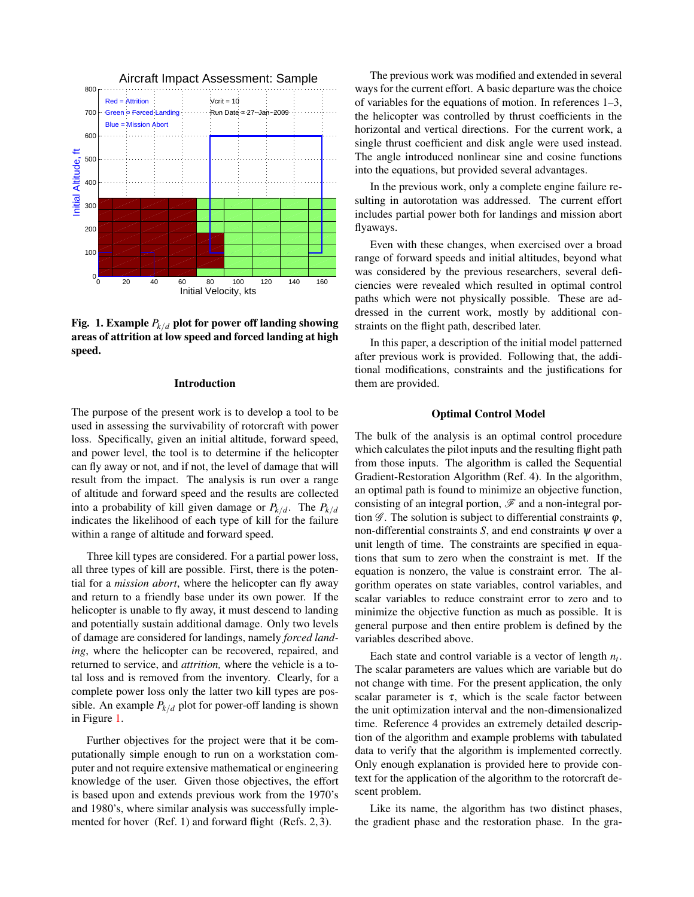

<span id="page-2-0"></span>Fig. 1. Example  $P_{k/d}$  plot for power off landing showing areas of attrition at low speed and forced landing at high speed.

## Introduction

The purpose of the present work is to develop a tool to be used in assessing the survivability of rotorcraft with power loss. Specifically, given an initial altitude, forward speed, and power level, the tool is to determine if the helicopter can fly away or not, and if not, the level of damage that will result from the impact. The analysis is run over a range of altitude and forward speed and the results are collected into a probability of kill given damage or  $P_{k/d}$ . The  $P_{k/d}$ indicates the likelihood of each type of kill for the failure within a range of altitude and forward speed.

Three kill types are considered. For a partial power loss, all three types of kill are possible. First, there is the potential for a *mission abort*, where the helicopter can fly away and return to a friendly base under its own power. If the helicopter is unable to fly away, it must descend to landing and potentially sustain additional damage. Only two levels of damage are considered for landings, namely *forced landing*, where the helicopter can be recovered, repaired, and returned to service, and *attrition,* where the vehicle is a total loss and is removed from the inventory. Clearly, for a complete power loss only the latter two kill types are possible. An example  $P_{k/d}$  plot for power-off landing is shown in Figure [1.](#page-2-0)

Further objectives for the project were that it be computationally simple enough to run on a workstation computer and not require extensive mathematical or engineering knowledge of the user. Given those objectives, the effort is based upon and extends previous work from the 1970's and 1980's, where similar analysis was successfully implemented for hover (Ref. 1) and forward flight (Refs. 2, 3).

The previous work was modified and extended in several ways for the current effort. A basic departure was the choice of variables for the equations of motion. In references 1–3, the helicopter was controlled by thrust coefficients in the horizontal and vertical directions. For the current work, a single thrust coefficient and disk angle were used instead. The angle introduced nonlinear sine and cosine functions into the equations, but provided several advantages.

In the previous work, only a complete engine failure resulting in autorotation was addressed. The current effort includes partial power both for landings and mission abort flyaways.

Even with these changes, when exercised over a broad range of forward speeds and initial altitudes, beyond what was considered by the previous researchers, several deficiencies were revealed which resulted in optimal control paths which were not physically possible. These are addressed in the current work, mostly by additional constraints on the flight path, described later.

In this paper, a description of the initial model patterned after previous work is provided. Following that, the additional modifications, constraints and the justifications for them are provided.

#### Optimal Control Model

The bulk of the analysis is an optimal control procedure which calculates the pilot inputs and the resulting flight path from those inputs. The algorithm is called the Sequential Gradient-Restoration Algorithm (Ref. 4). In the algorithm, an optimal path is found to minimize an objective function, consisting of an integral portion,  $\mathscr F$  and a non-integral portion  $\mathscr G$ . The solution is subject to differential constraints  $\varphi$ , non-differential constraints *S*, and end constraints ψ over a unit length of time. The constraints are specified in equations that sum to zero when the constraint is met. If the equation is nonzero, the value is constraint error. The algorithm operates on state variables, control variables, and scalar variables to reduce constraint error to zero and to minimize the objective function as much as possible. It is general purpose and then entire problem is defined by the variables described above.

Each state and control variable is a vector of length  $n_t$ . The scalar parameters are values which are variable but do not change with time. For the present application, the only scalar parameter is  $\tau$ , which is the scale factor between the unit optimization interval and the non-dimensionalized time. Reference 4 provides an extremely detailed description of the algorithm and example problems with tabulated data to verify that the algorithm is implemented correctly. Only enough explanation is provided here to provide context for the application of the algorithm to the rotorcraft descent problem.

Like its name, the algorithm has two distinct phases, the gradient phase and the restoration phase. In the gra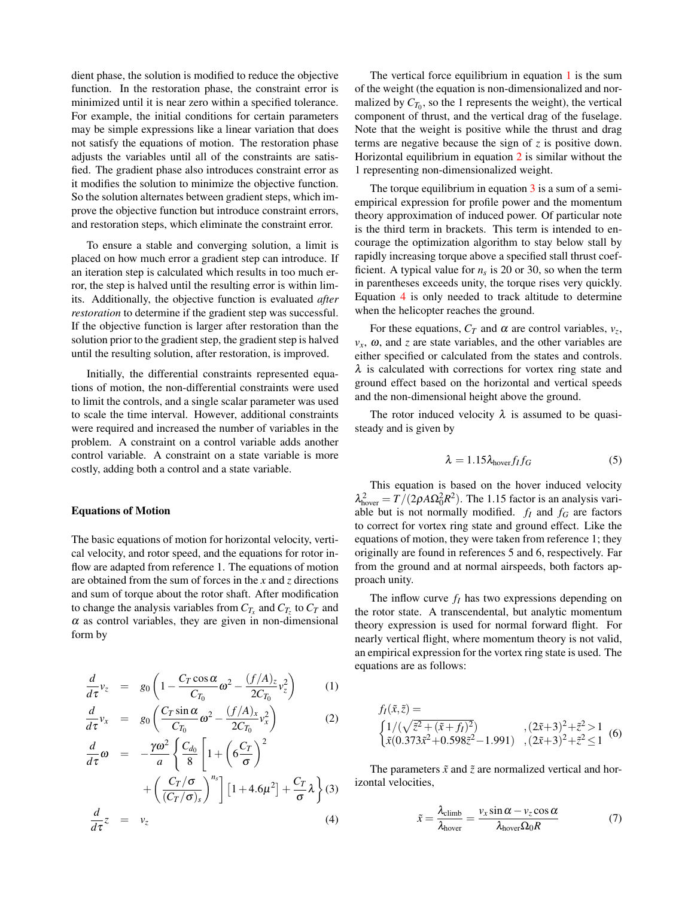dient phase, the solution is modified to reduce the objective function. In the restoration phase, the constraint error is minimized until it is near zero within a specified tolerance. For example, the initial conditions for certain parameters may be simple expressions like a linear variation that does not satisfy the equations of motion. The restoration phase adjusts the variables until all of the constraints are satisfied. The gradient phase also introduces constraint error as it modifies the solution to minimize the objective function. So the solution alternates between gradient steps, which improve the objective function but introduce constraint errors, and restoration steps, which eliminate the constraint error.

To ensure a stable and converging solution, a limit is placed on how much error a gradient step can introduce. If an iteration step is calculated which results in too much error, the step is halved until the resulting error is within limits. Additionally, the objective function is evaluated *after restoration* to determine if the gradient step was successful. If the objective function is larger after restoration than the solution prior to the gradient step, the gradient step is halved until the resulting solution, after restoration, is improved.

Initially, the differential constraints represented equations of motion, the non-differential constraints were used to limit the controls, and a single scalar parameter was used to scale the time interval. However, additional constraints were required and increased the number of variables in the problem. A constraint on a control variable adds another control variable. A constraint on a state variable is more costly, adding both a control and a state variable.

## Equations of Motion

The basic equations of motion for horizontal velocity, vertical velocity, and rotor speed, and the equations for rotor inflow are adapted from reference 1. The equations of motion are obtained from the sum of forces in the *x* and *z* directions and sum of torque about the rotor shaft. After modification to change the analysis variables from  $C_{T_x}$  and  $C_{T_z}$  to  $C_T$  and  $\alpha$  as control variables, they are given in non-dimensional form by

$$
\frac{d}{d\tau}v_z = g_0 \left( 1 - \frac{C_T \cos \alpha}{C_{T_0}} \omega^2 - \frac{(f/A)_z}{2C_{T_0}} v_z^2 \right) \tag{1}
$$

<span id="page-3-0"></span>
$$
\frac{d}{d\tau}v_x = g_0 \left( \frac{C_T \sin \alpha}{C_{T_0}} \omega^2 - \frac{(f/A)_x}{2C_{T_0}} v_x^2 \right) \tag{2}
$$

$$
\frac{d}{d\tau}\omega = -\frac{\gamma\omega^2}{a} \left\{ \frac{C_{d_0}}{8} \left[ 1 + \left( 6\frac{C_T}{\sigma} \right)^2 \right. \right.\left. + \left( \frac{C_T/\sigma}{(C_T/\sigma)_s} \right)^{n_s} \right] \left[ 1 + 4.6\mu^2 \right] + \frac{C_T}{\sigma} \lambda \right\} (3)
$$
\n
$$
\frac{d}{d\tau} z = v_z
$$
\n(4)

The vertical force equilibrium in equation  $1$  is the sum of the weight (the equation is non-dimensionalized and normalized by  $C_{T_0}$ , so the 1 represents the weight), the vertical component of thrust, and the vertical drag of the fuselage. Note that the weight is positive while the thrust and drag terms are negative because the sign of *z* is positive down. Horizontal equilibrium in equation [2](#page-3-0) is similar without the 1 representing non-dimensionalized weight.

The torque equilibrium in equation  $\overline{3}$  $\overline{3}$  $\overline{3}$  is a sum of a semiempirical expression for profile power and the momentum theory approximation of induced power. Of particular note is the third term in brackets. This term is intended to encourage the optimization algorithm to stay below stall by rapidly increasing torque above a specified stall thrust coefficient. A typical value for  $n<sub>s</sub>$  is 20 or 30, so when the term in parentheses exceeds unity, the torque rises very quickly. Equation [4](#page-3-0) is only needed to track altitude to determine when the helicopter reaches the ground.

For these equations,  $C_T$  and  $\alpha$  are control variables,  $v_z$ ,  $v_x$ ,  $\omega$ , and *z* are state variables, and the other variables are either specified or calculated from the states and controls.  $\lambda$  is calculated with corrections for vortex ring state and ground effect based on the horizontal and vertical speeds and the non-dimensional height above the ground.

The rotor induced velocity  $\lambda$  is assumed to be quasisteady and is given by

$$
\lambda = 1.15 \lambda_{\text{hover}} f_I f_G \tag{5}
$$

This equation is based on the hover induced velocity  $\lambda_{\text{hover}}^2 = T/(2\rho A \Omega_0^2 R^2)$ . The 1.15 factor is an analysis variable but is not normally modified.  $f_I$  and  $f_G$  are factors to correct for vortex ring state and ground effect. Like the equations of motion, they were taken from reference 1; they originally are found in references 5 and 6, respectively. Far from the ground and at normal airspeeds, both factors approach unity.

The inflow curve *f<sup>I</sup>* has two expressions depending on the rotor state. A transcendental, but analytic momentum theory expression is used for normal forward flight. For nearly vertical flight, where momentum theory is not valid, an empirical expression for the vortex ring state is used. The equations are as follows:

$$
f_I(\tilde{x}, \tilde{z}) =
$$
  
\n
$$
\begin{cases}\n1/(\sqrt{\tilde{z}^2 + (\tilde{x} + f_I)^2}) & , (2\tilde{x} + 3)^2 + \tilde{z}^2 > 1 \\
\tilde{x}(0.373\tilde{x}^2 + 0.598\tilde{z}^2 - 1.991) & , (2\tilde{x} + 3)^2 + \tilde{z}^2 \le 1\n\end{cases}
$$
(6)

The parameters  $\tilde{x}$  and  $\tilde{z}$  are normalized vertical and horizontal velocities,

$$
\tilde{x} = \frac{\lambda_{\text{climb}}}{\lambda_{\text{hover}}} = \frac{v_x \sin \alpha - v_z \cos \alpha}{\lambda_{\text{hover}} \Omega_0 R} \tag{7}
$$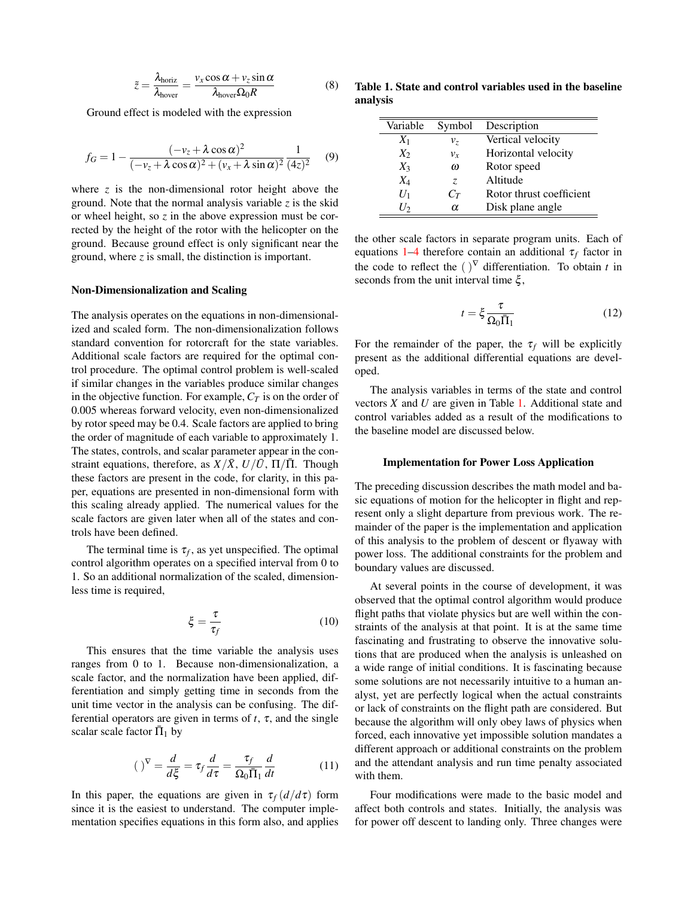$$
\tilde{z} = \frac{\lambda_{\text{horiz}}}{\lambda_{\text{hover}}} = \frac{v_x \cos \alpha + v_z \sin \alpha}{\lambda_{\text{hover}} \Omega_0 R}
$$
(8)

Ground effect is modeled with the expression

$$
f_G = 1 - \frac{(-v_z + \lambda \cos \alpha)^2}{(-v_z + \lambda \cos \alpha)^2 + (v_x + \lambda \sin \alpha)^2} \frac{1}{(4z)^2}
$$
(9)

where *z* is the non-dimensional rotor height above the ground. Note that the normal analysis variable *z* is the skid or wheel height, so *z* in the above expression must be corrected by the height of the rotor with the helicopter on the ground. Because ground effect is only significant near the ground, where *z* is small, the distinction is important.

#### Non-Dimensionalization and Scaling

The analysis operates on the equations in non-dimensionalized and scaled form. The non-dimensionalization follows standard convention for rotorcraft for the state variables. Additional scale factors are required for the optimal control procedure. The optimal control problem is well-scaled if similar changes in the variables produce similar changes in the objective function. For example,  $C_T$  is on the order of 0.005 whereas forward velocity, even non-dimensionalized by rotor speed may be 0.4. Scale factors are applied to bring the order of magnitude of each variable to approximately 1. The states, controls, and scalar parameter appear in the constraint equations, therefore, as  $X/\overline{X}$ ,  $U/\overline{U}$ ,  $\Pi/\overline{\Pi}$ . Though these factors are present in the code, for clarity, in this paper, equations are presented in non-dimensional form with this scaling already applied. The numerical values for the scale factors are given later when all of the states and controls have been defined.

The terminal time is  $\tau_f$ , as yet unspecified. The optimal control algorithm operates on a specified interval from 0 to 1. So an additional normalization of the scaled, dimensionless time is required,

$$
\xi = \frac{\tau}{\tau_f} \tag{10}
$$

This ensures that the time variable the analysis uses ranges from 0 to 1. Because non-dimensionalization, a scale factor, and the normalization have been applied, differentiation and simply getting time in seconds from the unit time vector in the analysis can be confusing. The differential operators are given in terms of  $t$ ,  $\tau$ , and the single scalar scale factor  $\bar{\Pi}_1$  by

$$
(\ )^{\nabla} = \frac{d}{d\xi} = \tau_f \frac{d}{d\tau} = \frac{\tau_f}{\Omega_0 \bar{\Pi}_1} \frac{d}{dt} \tag{11}
$$

In this paper, the equations are given in  $\tau_f(d/d\tau)$  form since it is the easiest to understand. The computer implementation specifies equations in this form also, and applies

Table 1. State and control variables used in the baseline analysis

<span id="page-4-0"></span>

| Variable | Symbol   | Description              |
|----------|----------|--------------------------|
| $X_1$    | $v_z$    | Vertical velocity        |
| $X_2$    | $v_{r}$  | Horizontal velocity      |
| $X_3$    | $\omega$ | Rotor speed              |
| $X_4$    | Z.       | Altitude                 |
| $U_1$    | $C_T$    | Rotor thrust coefficient |
| $I_2$    | $\alpha$ | Disk plane angle         |

the other scale factors in separate program units. Each of equations  $1-4$  therefore contain an additional  $\tau_f$  factor in the code to reflect the  $()^\nabla$  differentiation. To obtain *t* in seconds from the unit interval time  $\xi$ ,

$$
t = \xi \frac{\tau}{\Omega_0 \bar{\Pi}_1}
$$
 (12)

For the remainder of the paper, the  $\tau_f$  will be explicitly present as the additional differential equations are developed.

The analysis variables in terms of the state and control vectors *X* and *U* are given in Table [1.](#page-4-0) Additional state and control variables added as a result of the modifications to the baseline model are discussed below.

#### Implementation for Power Loss Application

The preceding discussion describes the math model and basic equations of motion for the helicopter in flight and represent only a slight departure from previous work. The remainder of the paper is the implementation and application of this analysis to the problem of descent or flyaway with power loss. The additional constraints for the problem and boundary values are discussed.

At several points in the course of development, it was observed that the optimal control algorithm would produce flight paths that violate physics but are well within the constraints of the analysis at that point. It is at the same time fascinating and frustrating to observe the innovative solutions that are produced when the analysis is unleashed on a wide range of initial conditions. It is fascinating because some solutions are not necessarily intuitive to a human analyst, yet are perfectly logical when the actual constraints or lack of constraints on the flight path are considered. But because the algorithm will only obey laws of physics when forced, each innovative yet impossible solution mandates a different approach or additional constraints on the problem and the attendant analysis and run time penalty associated with them.

Four modifications were made to the basic model and affect both controls and states. Initially, the analysis was for power off descent to landing only. Three changes were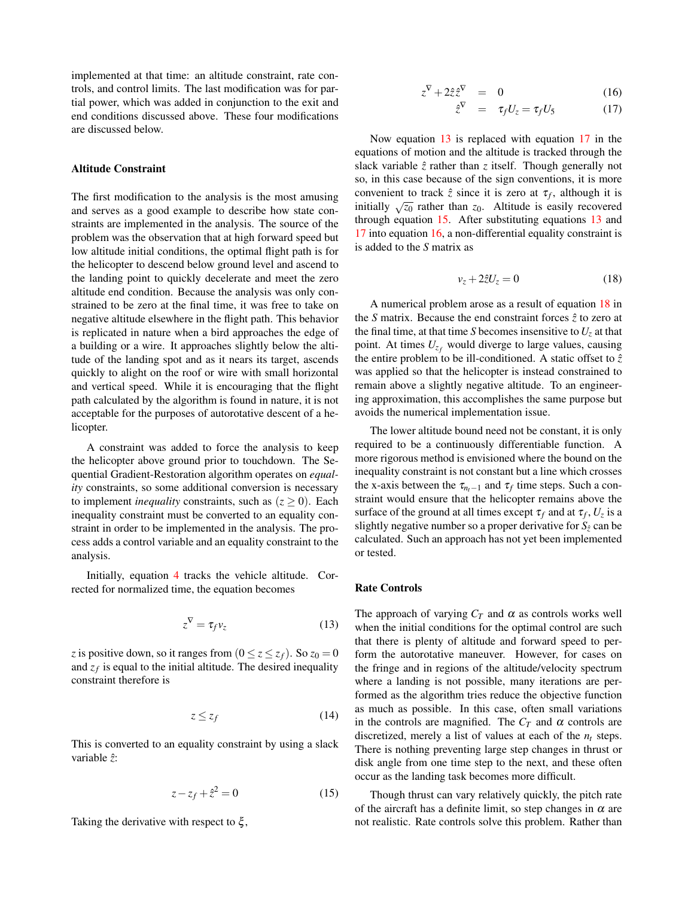implemented at that time: an altitude constraint, rate controls, and control limits. The last modification was for partial power, which was added in conjunction to the exit and end conditions discussed above. These four modifications are discussed below.

# Altitude Constraint

The first modification to the analysis is the most amusing and serves as a good example to describe how state constraints are implemented in the analysis. The source of the problem was the observation that at high forward speed but low altitude initial conditions, the optimal flight path is for the helicopter to descend below ground level and ascend to the landing point to quickly decelerate and meet the zero altitude end condition. Because the analysis was only constrained to be zero at the final time, it was free to take on negative altitude elsewhere in the flight path. This behavior is replicated in nature when a bird approaches the edge of a building or a wire. It approaches slightly below the altitude of the landing spot and as it nears its target, ascends quickly to alight on the roof or wire with small horizontal and vertical speed. While it is encouraging that the flight path calculated by the algorithm is found in nature, it is not acceptable for the purposes of autorotative descent of a helicopter.

A constraint was added to force the analysis to keep the helicopter above ground prior to touchdown. The Sequential Gradient-Restoration algorithm operates on *equality* constraints, so some additional conversion is necessary to implement *inequality* constraints, such as  $(z \geq 0)$ . Each inequality constraint must be converted to an equality constraint in order to be implemented in the analysis. The process adds a control variable and an equality constraint to the analysis.

Initially, equation [4](#page-3-0) tracks the vehicle altitude. Corrected for normalized time, the equation becomes

<span id="page-5-0"></span>
$$
z^{\nabla} = \tau_f \nu_z \tag{13}
$$

*z* is positive down, so it ranges from  $(0 \le z \le z_f)$ . So  $z_0 = 0$ and  $z_f$  is equal to the initial altitude. The desired inequality constraint therefore is

$$
z \le z_f \tag{14}
$$

This is converted to an equality constraint by using a slack variable ˆ*z*:

<span id="page-5-2"></span>
$$
z - z_f + \hat{z}^2 = 0 \tag{15}
$$

Taking the derivative with respect to  $\xi$ ,

<span id="page-5-1"></span>
$$
z^{\nabla} + 2\hat{z}\hat{z}^{\nabla} = 0 \tag{16}
$$

$$
\hat{z}^{\nabla} = \tau_f U_z = \tau_f U_5 \tag{17}
$$

Now equation [13](#page-5-0) is replaced with equation [17](#page-5-1) in the equations of motion and the altitude is tracked through the slack variable  $\hat{z}$  rather than  $z$  itself. Though generally not so, in this case because of the sign conventions, it is more convenient to track  $\hat{z}$  since it is zero at  $\tau_f$ , although it is initially  $\sqrt{z_0}$  rather than  $z_0$ . Altitude is easily recovered through equation [15.](#page-5-2) After substituting equations [13](#page-5-0) and [17](#page-5-1) into equation [16,](#page-5-1) a non-differential equality constraint is is added to the *S* matrix as

<span id="page-5-3"></span>
$$
v_z + 2\hat{z}U_z = 0\tag{18}
$$

A numerical problem arose as a result of equation [18](#page-5-3) in the *S* matrix. Because the end constraint forces  $\hat{z}$  to zero at the final time, at that time *S* becomes insensitive to  $U_z$  at that point. At times  $U_{z_f}$  would diverge to large values, causing the entire problem to be ill-conditioned. A static offset to  $\hat{z}$ was applied so that the helicopter is instead constrained to remain above a slightly negative altitude. To an engineering approximation, this accomplishes the same purpose but avoids the numerical implementation issue.

The lower altitude bound need not be constant, it is only required to be a continuously differentiable function. A more rigorous method is envisioned where the bound on the inequality constraint is not constant but a line which crosses the x-axis between the  $\tau_{n_t-1}$  and  $\tau_f$  time steps. Such a constraint would ensure that the helicopter remains above the surface of the ground at all times except  $\tau_f$  and at  $\tau_f$ ,  $U_z$  is a slightly negative number so a proper derivative for  $S_{\hat{z}}$  can be calculated. Such an approach has not yet been implemented or tested.

## Rate Controls

The approach of varying  $C_T$  and  $\alpha$  as controls works well when the initial conditions for the optimal control are such that there is plenty of altitude and forward speed to perform the autorotative maneuver. However, for cases on the fringe and in regions of the altitude/velocity spectrum where a landing is not possible, many iterations are performed as the algorithm tries reduce the objective function as much as possible. In this case, often small variations in the controls are magnified. The  $C_T$  and  $\alpha$  controls are discretized, merely a list of values at each of the  $n_t$  steps. There is nothing preventing large step changes in thrust or disk angle from one time step to the next, and these often occur as the landing task becomes more difficult.

Though thrust can vary relatively quickly, the pitch rate of the aircraft has a definite limit, so step changes in  $\alpha$  are not realistic. Rate controls solve this problem. Rather than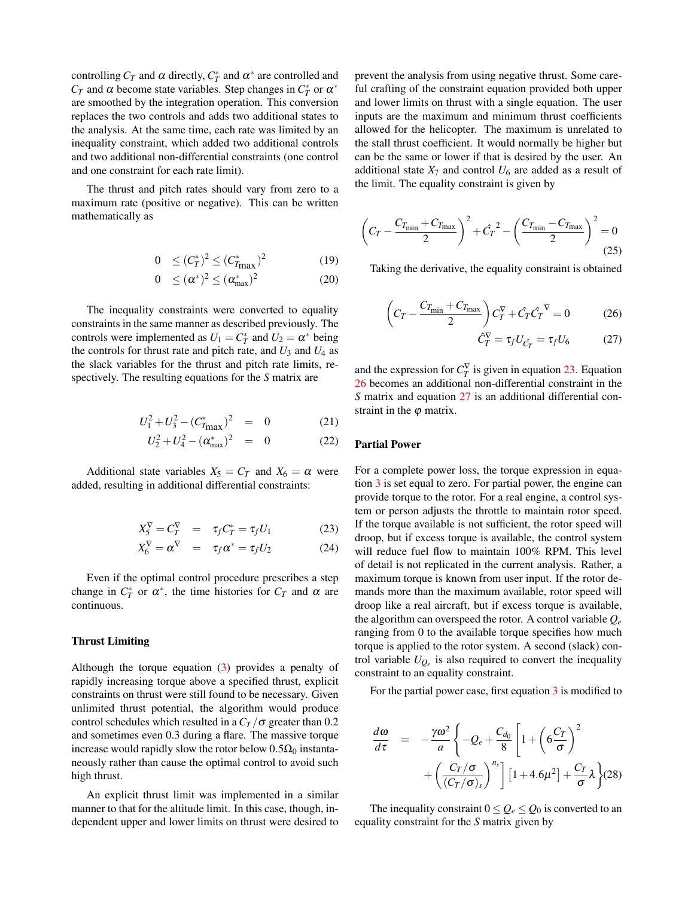controlling  $C_T$  and  $\alpha$  directly,  $C_T^*$  and  $\alpha^*$  are controlled and *C*<sub>*T*</sub> and  $\alpha$  become state variables. Step changes in  $C_T^*$  or  $\alpha^*$ are smoothed by the integration operation. This conversion replaces the two controls and adds two additional states to the analysis. At the same time, each rate was limited by an inequality constraint, which added two additional controls and two additional non-differential constraints (one control and one constraint for each rate limit).

The thrust and pitch rates should vary from zero to a maximum rate (positive or negative). This can be written mathematically as

$$
0 \le (C_T^*)^2 \le (C_{T_{\text{max}}}^*)^2 \tag{19}
$$

$$
0 \leq (\alpha^*)^2 \leq (\alpha^*_{\text{max}})^2 \tag{20}
$$

The inequality constraints were converted to equality constraints in the same manner as described previously. The controls were implemented as  $U_1 = C_T^*$  and  $U_2 = \alpha^*$  being the controls for thrust rate and pitch rate, and  $U_3$  and  $U_4$  as the slack variables for the thrust and pitch rate limits, respectively. The resulting equations for the *S* matrix are

$$
U_1^2 + U_3^2 - (C_{T_{\text{max}}}^*)^2 = 0 \tag{21}
$$

$$
U_2^2 + U_4^2 - (\alpha_{\text{max}}^*)^2 = 0 \tag{22}
$$

Additional state variables  $X_5 = C_T$  and  $X_6 = \alpha$  were added, resulting in additional differential constraints:

<span id="page-6-0"></span>
$$
X_5^{\nabla} = C_T^{\nabla} = \tau_f C_T^* = \tau_f U_1 \tag{23}
$$

$$
X_6^{\nabla} = \alpha^{\nabla} = \tau_f \alpha^* = \tau_f U_2 \tag{24}
$$

Even if the optimal control procedure prescribes a step change in  $C_T^*$  or  $\alpha^*$ , the time histories for  $C_T$  and  $\alpha$  are continuous.

## Thrust Limiting

Although the torque equation [\(3\)](#page-3-0) provides a penalty of rapidly increasing torque above a specified thrust, explicit constraints on thrust were still found to be necessary. Given unlimited thrust potential, the algorithm would produce control schedules which resulted in a  $C_T/\sigma$  greater than 0.2 and sometimes even 0.3 during a flare. The massive torque increase would rapidly slow the rotor below  $0.5\Omega_0$  instantaneously rather than cause the optimal control to avoid such high thrust.

An explicit thrust limit was implemented in a similar manner to that for the altitude limit. In this case, though, independent upper and lower limits on thrust were desired to prevent the analysis from using negative thrust. Some careful crafting of the constraint equation provided both upper and lower limits on thrust with a single equation. The user inputs are the maximum and minimum thrust coefficients allowed for the helicopter. The maximum is unrelated to the stall thrust coefficient. It would normally be higher but can be the same or lower if that is desired by the user. An additional state  $X_7$  and control  $U_6$  are added as a result of the limit. The equality constraint is given by

$$
\left(C_T - \frac{C_{T_{\min}} + C_{T_{\max}}}{2}\right)^2 + \hat{C}_T^2 - \left(\frac{C_{T_{\min}} - C_{T_{\max}}}{2}\right)^2 = 0
$$
\n(25)

Taking the derivative, the equality constraint is obtained

<span id="page-6-1"></span>
$$
\left(C_T - \frac{C_{T_{\text{min}}} + C_{T_{\text{max}}}}{2}\right) C_T^{\nabla} + \hat{C}_T \hat{C}_T^{\nabla} = 0 \tag{26}
$$

$$
\hat{C}_T^{\nabla} = \tau_f U_{\hat{C}_T} = \tau_f U_6 \tag{27}
$$

and the expression for  $C_T^{\nabla}$  is given in equation [23.](#page-6-0) Equation [26](#page-6-1) becomes an additional non-differential constraint in the *S* matrix and equation [27](#page-6-1) is an additional differential constraint in the  $\varphi$  matrix.

#### Partial Power

For a complete power loss, the torque expression in equation [3](#page-3-0) is set equal to zero. For partial power, the engine can provide torque to the rotor. For a real engine, a control system or person adjusts the throttle to maintain rotor speed. If the torque available is not sufficient, the rotor speed will droop, but if excess torque is available, the control system will reduce fuel flow to maintain 100% RPM. This level of detail is not replicated in the current analysis. Rather, a maximum torque is known from user input. If the rotor demands more than the maximum available, rotor speed will droop like a real aircraft, but if excess torque is available, the algorithm can overspeed the rotor. A control variable *Q<sup>e</sup>* ranging from 0 to the available torque specifies how much torque is applied to the rotor system. A second (slack) control variable *UQ<sup>e</sup>* is also required to convert the inequality constraint to an equality constraint.

For the partial power case, first equation [3](#page-3-0) is modified to

$$
\frac{d\omega}{d\tau} = -\frac{\gamma \omega^2}{a} \left\{ -Q_e + \frac{C_{d_0}}{8} \left[ 1 + \left( 6\frac{C_T}{\sigma} \right)^2 + \left( \frac{C_T/\sigma}{(C_T/\sigma)_s} \right)^{n_s} \right] \left[ 1 + 4.6\mu^2 \right] + \frac{C_T}{\sigma} \lambda \right\} (28)
$$

The inequality constraint  $0 \le Q_e \le Q_0$  is converted to an equality constraint for the *S* matrix given by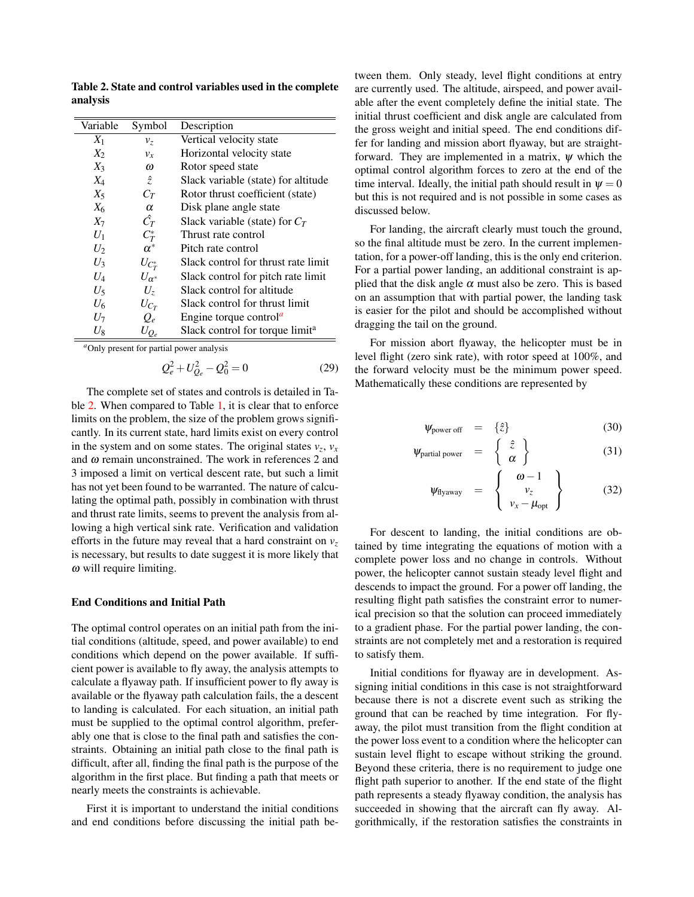Variable Symbol Description  $X_1$  *v*<sub>z</sub> Vertical velocity state  $X_2$  *v<sub>x</sub>* Horizontal velocity state *X*<sub>3</sub>  $\omega$  Rotor speed state<br>*X*<sub>4</sub>  $\hat{z}$  Slack variable (state  $X_4$   $\hat{z}$  Slack variable (state) for altitude *X*<sup>5</sup> *C<sup>T</sup>* Rotor thrust coefficient (state)  $X_6$   $\alpha$  Disk plane angle state  $X_7$  *C*<sup> $\hat{C}_T$ </sup> *T* Slack variable (state) for  $C_T$  $U_1$  $C_T^*$  $C_T^*$  Thrust rate control<br> $\alpha^*$  Pitch rate control  $U_2$ Pitch rate control  $U_3$  *U*<sub>*C*<sup>\*</sup></sup></sub> Slack control for thrust rate limit  $U_4$  *U* $\alpha^*$  Slack control for pitch rate limit  $U_5$  *U<sub>z</sub>* Slack control for altitude  $U_6$   $U_{C_T}$ <br> $U_7$   $Q_e$ Slack control for thrust limit Engine torque control<sup> $a$ </sup>  $U_8$  *U*<sub>*Q<sub>e</sub>* Slack control for torque limit<sup>a</sup></sub>

<span id="page-7-1"></span>Table 2. State and control variables used in the complete analysis

<span id="page-7-0"></span>*<sup>a</sup>*Only present for partial power analysis

<span id="page-7-3"></span>
$$
Q_e^2 + U_{Q_e}^2 - Q_0^2 = 0
$$
 (29)

The complete set of states and controls is detailed in Ta-ble [2.](#page-7-1) When compared to Table [1,](#page-4-0) it is clear that to enforce limits on the problem, the size of the problem grows significantly. In its current state, hard limits exist on every control in the system and on some states. The original states  $v_z$ ,  $v_x$ and  $\omega$  remain unconstrained. The work in references 2 and 3 imposed a limit on vertical descent rate, but such a limit has not yet been found to be warranted. The nature of calculating the optimal path, possibly in combination with thrust and thrust rate limits, seems to prevent the analysis from allowing a high vertical sink rate. Verification and validation efforts in the future may reveal that a hard constraint on  $v<sub>z</sub>$ is necessary, but results to date suggest it is more likely that  $\omega$  will require limiting.

#### End Conditions and Initial Path

The optimal control operates on an initial path from the initial conditions (altitude, speed, and power available) to end conditions which depend on the power available. If sufficient power is available to fly away, the analysis attempts to calculate a flyaway path. If insufficient power to fly away is available or the flyaway path calculation fails, the a descent to landing is calculated. For each situation, an initial path must be supplied to the optimal control algorithm, preferably one that is close to the final path and satisfies the constraints. Obtaining an initial path close to the final path is difficult, after all, finding the final path is the purpose of the algorithm in the first place. But finding a path that meets or nearly meets the constraints is achievable.

First it is important to understand the initial conditions and end conditions before discussing the initial path between them. Only steady, level flight conditions at entry are currently used. The altitude, airspeed, and power available after the event completely define the initial state. The initial thrust coefficient and disk angle are calculated from the gross weight and initial speed. The end conditions differ for landing and mission abort flyaway, but are straightforward. They are implemented in a matrix,  $\psi$  which the optimal control algorithm forces to zero at the end of the time interval. Ideally, the initial path should result in  $\psi = 0$ but this is not required and is not possible in some cases as discussed below.

For landing, the aircraft clearly must touch the ground, so the final altitude must be zero. In the current implementation, for a power-off landing, this is the only end criterion. For a partial power landing, an additional constraint is applied that the disk angle  $\alpha$  must also be zero. This is based on an assumption that with partial power, the landing task is easier for the pilot and should be accomplished without dragging the tail on the ground.

For mission abort flyaway, the helicopter must be in level flight (zero sink rate), with rotor speed at 100%, and the forward velocity must be the minimum power speed. Mathematically these conditions are represented by

<span id="page-7-2"></span>
$$
\psi_{\text{power off}} = \{\hat{z}\} \tag{30}
$$

$$
\mathbf{\psi}_{\text{partial power}} = \left\{ \begin{array}{c} \hat{z} \\ \alpha \end{array} \right\} \tag{31}
$$

$$
\Psi_{\text{flyaway}} = \left\{ \begin{array}{c} \omega - 1 \\ v_z \\ v_x - \mu_{\text{opt}} \end{array} \right\} \tag{32}
$$

For descent to landing, the initial conditions are obtained by time integrating the equations of motion with a complete power loss and no change in controls. Without power, the helicopter cannot sustain steady level flight and descends to impact the ground. For a power off landing, the resulting flight path satisfies the constraint error to numerical precision so that the solution can proceed immediately to a gradient phase. For the partial power landing, the constraints are not completely met and a restoration is required to satisfy them.

Initial conditions for flyaway are in development. Assigning initial conditions in this case is not straightforward because there is not a discrete event such as striking the ground that can be reached by time integration. For flyaway, the pilot must transition from the flight condition at the power loss event to a condition where the helicopter can sustain level flight to escape without striking the ground. Beyond these criteria, there is no requirement to judge one flight path superior to another. If the end state of the flight path represents a steady flyaway condition, the analysis has succeeded in showing that the aircraft can fly away. Algorithmically, if the restoration satisfies the constraints in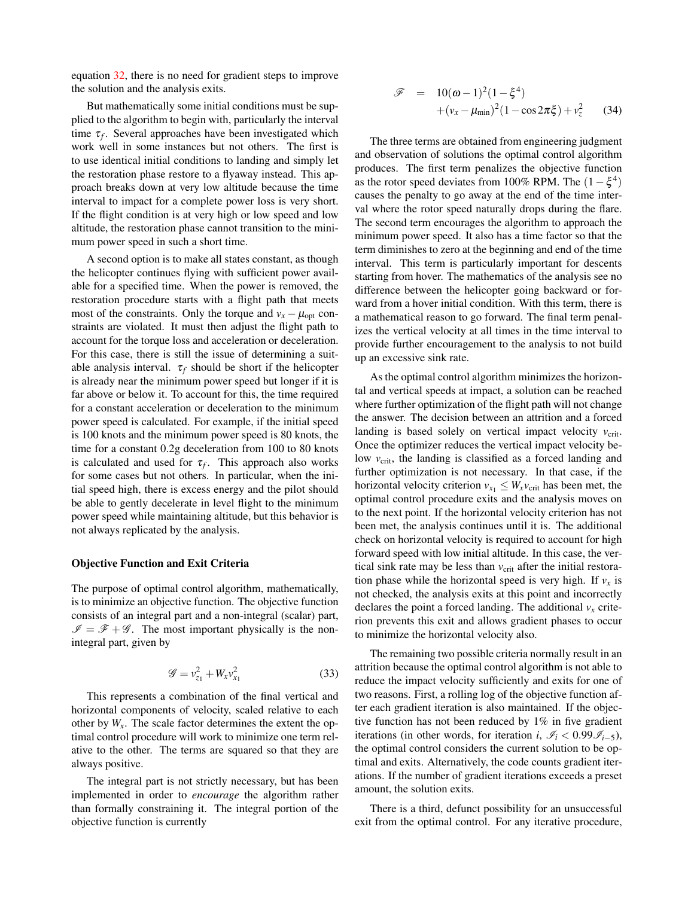equation [32,](#page-7-2) there is no need for gradient steps to improve the solution and the analysis exits.

But mathematically some initial conditions must be supplied to the algorithm to begin with, particularly the interval time  $\tau_f$ . Several approaches have been investigated which work well in some instances but not others. The first is to use identical initial conditions to landing and simply let the restoration phase restore to a flyaway instead. This approach breaks down at very low altitude because the time interval to impact for a complete power loss is very short. If the flight condition is at very high or low speed and low altitude, the restoration phase cannot transition to the minimum power speed in such a short time.

A second option is to make all states constant, as though the helicopter continues flying with sufficient power available for a specified time. When the power is removed, the restoration procedure starts with a flight path that meets most of the constraints. Only the torque and  $v_x - \mu_{opt}$  constraints are violated. It must then adjust the flight path to account for the torque loss and acceleration or deceleration. For this case, there is still the issue of determining a suitable analysis interval.  $\tau_f$  should be short if the helicopter is already near the minimum power speed but longer if it is far above or below it. To account for this, the time required for a constant acceleration or deceleration to the minimum power speed is calculated. For example, if the initial speed is 100 knots and the minimum power speed is 80 knots, the time for a constant 0.2g deceleration from 100 to 80 knots is calculated and used for  $\tau_f$ . This approach also works for some cases but not others. In particular, when the initial speed high, there is excess energy and the pilot should be able to gently decelerate in level flight to the minimum power speed while maintaining altitude, but this behavior is not always replicated by the analysis.

#### Objective Function and Exit Criteria

The purpose of optimal control algorithm, mathematically, is to minimize an objective function. The objective function consists of an integral part and a non-integral (scalar) part,  $\mathscr{I} = \mathscr{F} + \mathscr{G}$ . The most important physically is the nonintegral part, given by

<span id="page-8-0"></span>
$$
\mathcal{G} = v_{z_1}^2 + W_x v_{x_1}^2 \tag{33}
$$

This represents a combination of the final vertical and horizontal components of velocity, scaled relative to each other by  $W_x$ . The scale factor determines the extent the optimal control procedure will work to minimize one term relative to the other. The terms are squared so that they are always positive.

The integral part is not strictly necessary, but has been implemented in order to *encourage* the algorithm rather than formally constraining it. The integral portion of the objective function is currently

<span id="page-8-1"></span>
$$
\mathcal{F} = 10(\omega - 1)^2 (1 - \xi^4) + (v_x - \mu_{\min})^2 (1 - \cos 2\pi \xi) + v_z^2
$$
 (34)

The three terms are obtained from engineering judgment and observation of solutions the optimal control algorithm produces. The first term penalizes the objective function as the rotor speed deviates from 100% RPM. The  $(1 - \xi^4)$ causes the penalty to go away at the end of the time interval where the rotor speed naturally drops during the flare. The second term encourages the algorithm to approach the minimum power speed. It also has a time factor so that the term diminishes to zero at the beginning and end of the time interval. This term is particularly important for descents starting from hover. The mathematics of the analysis see no difference between the helicopter going backward or forward from a hover initial condition. With this term, there is a mathematical reason to go forward. The final term penalizes the vertical velocity at all times in the time interval to provide further encouragement to the analysis to not build up an excessive sink rate.

As the optimal control algorithm minimizes the horizontal and vertical speeds at impact, a solution can be reached where further optimization of the flight path will not change the answer. The decision between an attrition and a forced landing is based solely on vertical impact velocity  $v_{\text{crit}}$ . Once the optimizer reduces the vertical impact velocity below  $v_{\text{crit}}$ , the landing is classified as a forced landing and further optimization is not necessary. In that case, if the horizontal velocity criterion  $v_{x_1} \leq W_x v_{\text{crit}}$  has been met, the optimal control procedure exits and the analysis moves on to the next point. If the horizontal velocity criterion has not been met, the analysis continues until it is. The additional check on horizontal velocity is required to account for high forward speed with low initial altitude. In this case, the vertical sink rate may be less than  $v_{\text{crit}}$  after the initial restoration phase while the horizontal speed is very high. If  $v_x$  is not checked, the analysis exits at this point and incorrectly declares the point a forced landing. The additional  $v_x$  criterion prevents this exit and allows gradient phases to occur to minimize the horizontal velocity also.

The remaining two possible criteria normally result in an attrition because the optimal control algorithm is not able to reduce the impact velocity sufficiently and exits for one of two reasons. First, a rolling log of the objective function after each gradient iteration is also maintained. If the objective function has not been reduced by 1% in five gradient iterations (in other words, for iteration *i*,  $\mathcal{I}_i < 0.99 \mathcal{I}_{i-5}$ ), the optimal control considers the current solution to be optimal and exits. Alternatively, the code counts gradient iterations. If the number of gradient iterations exceeds a preset amount, the solution exits.

There is a third, defunct possibility for an unsuccessful exit from the optimal control. For any iterative procedure,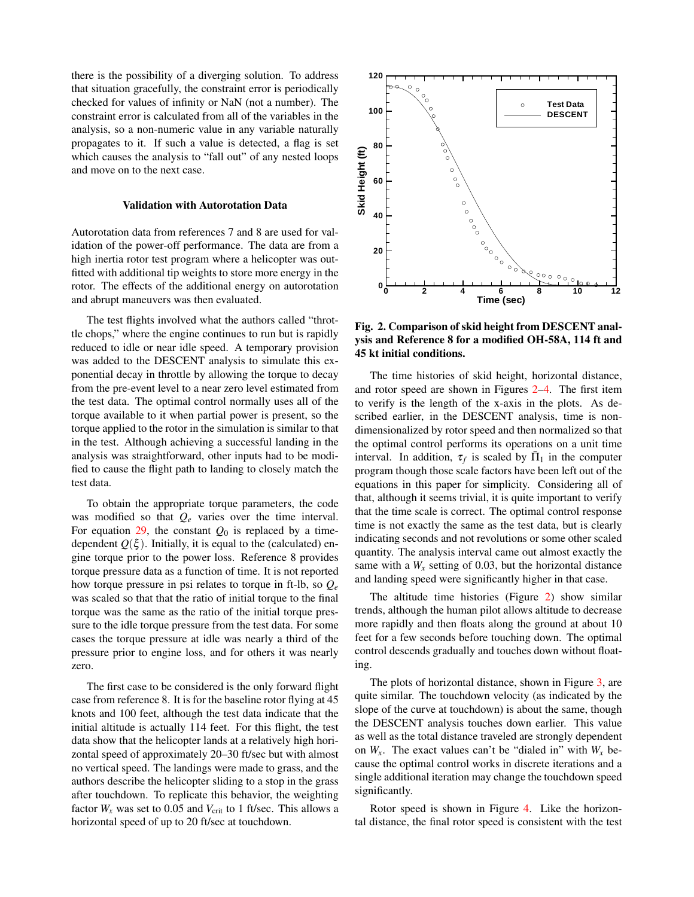there is the possibility of a diverging solution. To address that situation gracefully, the constraint error is periodically checked for values of infinity or NaN (not a number). The constraint error is calculated from all of the variables in the analysis, so a non-numeric value in any variable naturally propagates to it. If such a value is detected, a flag is set which causes the analysis to "fall out" of any nested loops and move on to the next case.

#### Validation with Autorotation Data

Autorotation data from references 7 and 8 are used for validation of the power-off performance. The data are from a high inertia rotor test program where a helicopter was outfitted with additional tip weights to store more energy in the rotor. The effects of the additional energy on autorotation and abrupt maneuvers was then evaluated.

The test flights involved what the authors called "throttle chops," where the engine continues to run but is rapidly reduced to idle or near idle speed. A temporary provision was added to the DESCENT analysis to simulate this exponential decay in throttle by allowing the torque to decay from the pre-event level to a near zero level estimated from the test data. The optimal control normally uses all of the torque available to it when partial power is present, so the torque applied to the rotor in the simulation is similar to that in the test. Although achieving a successful landing in the analysis was straightforward, other inputs had to be modified to cause the flight path to landing to closely match the test data.

To obtain the appropriate torque parameters, the code was modified so that *Q<sup>e</sup>* varies over the time interval. For equation  $29$ , the constant  $Q_0$  is replaced by a timedependent  $Q(\xi)$ . Initially, it is equal to the (calculated) engine torque prior to the power loss. Reference 8 provides torque pressure data as a function of time. It is not reported how torque pressure in psi relates to torque in ft-lb, so *Q<sup>e</sup>* was scaled so that that the ratio of initial torque to the final torque was the same as the ratio of the initial torque pressure to the idle torque pressure from the test data. For some cases the torque pressure at idle was nearly a third of the pressure prior to engine loss, and for others it was nearly zero.

The first case to be considered is the only forward flight case from reference 8. It is for the baseline rotor flying at 45 knots and 100 feet, although the test data indicate that the initial altitude is actually 114 feet. For this flight, the test data show that the helicopter lands at a relatively high horizontal speed of approximately 20–30 ft/sec but with almost no vertical speed. The landings were made to grass, and the authors describe the helicopter sliding to a stop in the grass after touchdown. To replicate this behavior, the weighting factor  $W_x$  was set to 0.05 and  $V_{\text{crit}}$  to 1 ft/sec. This allows a horizontal speed of up to 20 ft/sec at touchdown.



<span id="page-9-0"></span>Fig. 2. Comparison of skid height from DESCENT analysis and Reference 8 for a modified OH-58A, 114 ft and 45 kt initial conditions.

The time histories of skid height, horizontal distance, and rotor speed are shown in Figures [2–](#page-9-0)[4.](#page-10-0) The first item to verify is the length of the x-axis in the plots. As described earlier, in the DESCENT analysis, time is nondimensionalized by rotor speed and then normalized so that the optimal control performs its operations on a unit time interval. In addition,  $\tau_f$  is scaled by  $\bar{\Pi}_1$  in the computer program though those scale factors have been left out of the equations in this paper for simplicity. Considering all of that, although it seems trivial, it is quite important to verify that the time scale is correct. The optimal control response time is not exactly the same as the test data, but is clearly indicating seconds and not revolutions or some other scaled quantity. The analysis interval came out almost exactly the same with a  $W_x$  setting of 0.03, but the horizontal distance and landing speed were significantly higher in that case.

The altitude time histories (Figure [2\)](#page-9-0) show similar trends, although the human pilot allows altitude to decrease more rapidly and then floats along the ground at about 10 feet for a few seconds before touching down. The optimal control descends gradually and touches down without floating.

The plots of horizontal distance, shown in Figure [3,](#page-10-1) are quite similar. The touchdown velocity (as indicated by the slope of the curve at touchdown) is about the same, though the DESCENT analysis touches down earlier. This value as well as the total distance traveled are strongly dependent on  $W_x$ . The exact values can't be "dialed in" with  $W_x$  because the optimal control works in discrete iterations and a single additional iteration may change the touchdown speed significantly.

Rotor speed is shown in Figure [4.](#page-10-0) Like the horizontal distance, the final rotor speed is consistent with the test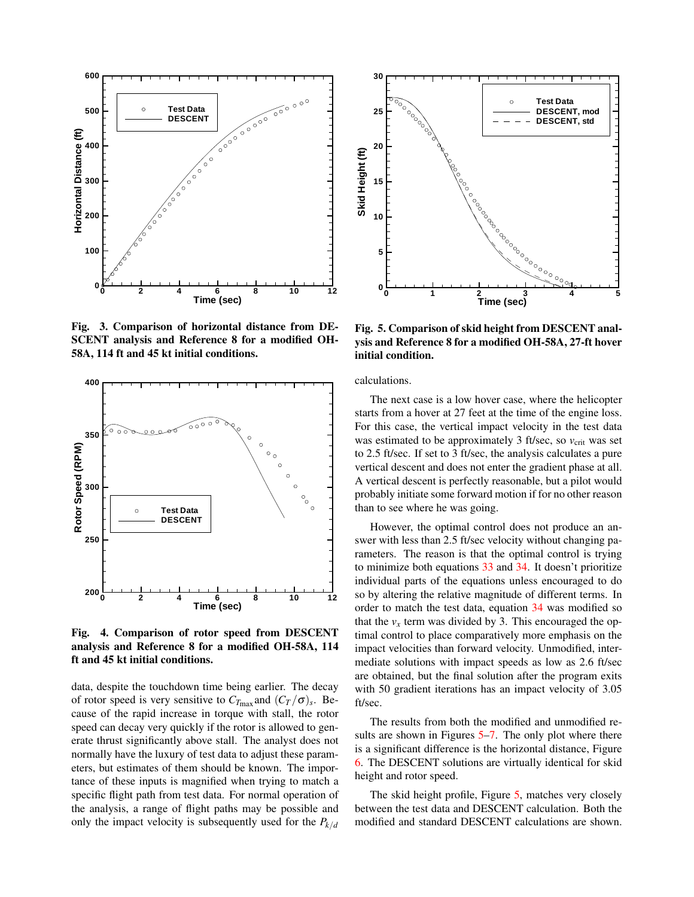

<span id="page-10-1"></span>Fig. 3. Comparison of horizontal distance from DE-SCENT analysis and Reference 8 for a modified OH-58A, 114 ft and 45 kt initial conditions.



<span id="page-10-0"></span>Fig. 4. Comparison of rotor speed from DESCENT analysis and Reference 8 for a modified OH-58A, 114 ft and 45 kt initial conditions.

data, despite the touchdown time being earlier. The decay of rotor speed is very sensitive to  $C_{T_{\text{max}}}$  and  $(C_T/\sigma)_s$ . Because of the rapid increase in torque with stall, the rotor speed can decay very quickly if the rotor is allowed to generate thrust significantly above stall. The analyst does not normally have the luxury of test data to adjust these parameters, but estimates of them should be known. The importance of these inputs is magnified when trying to match a specific flight path from test data. For normal operation of the analysis, a range of flight paths may be possible and only the impact velocity is subsequently used for the  $P_{k/d}$ 



<span id="page-10-2"></span>Fig. 5. Comparison of skid height from DESCENT analysis and Reference 8 for a modified OH-58A, 27-ft hover initial condition.

calculations.

The next case is a low hover case, where the helicopter starts from a hover at 27 feet at the time of the engine loss. For this case, the vertical impact velocity in the test data was estimated to be approximately 3 ft/sec, so  $v_{\text{crit}}$  was set to 2.5 ft/sec. If set to 3 ft/sec, the analysis calculates a pure vertical descent and does not enter the gradient phase at all. A vertical descent is perfectly reasonable, but a pilot would probably initiate some forward motion if for no other reason than to see where he was going.

However, the optimal control does not produce an answer with less than 2.5 ft/sec velocity without changing parameters. The reason is that the optimal control is trying to minimize both equations [33](#page-8-0) and [34.](#page-8-1) It doesn't prioritize individual parts of the equations unless encouraged to do so by altering the relative magnitude of different terms. In order to match the test data, equation [34](#page-8-1) was modified so that the  $v_x$  term was divided by 3. This encouraged the optimal control to place comparatively more emphasis on the impact velocities than forward velocity. Unmodified, intermediate solutions with impact speeds as low as 2.6 ft/sec are obtained, but the final solution after the program exits with 50 gradient iterations has an impact velocity of 3.05 ft/sec.

The results from both the modified and unmodified re-sults are shown in Figures [5–](#page-10-2)[7.](#page-11-0) The only plot where there is a significant difference is the horizontal distance, Figure [6.](#page-11-1) The DESCENT solutions are virtually identical for skid height and rotor speed.

The skid height profile, Figure [5,](#page-10-2) matches very closely between the test data and DESCENT calculation. Both the modified and standard DESCENT calculations are shown.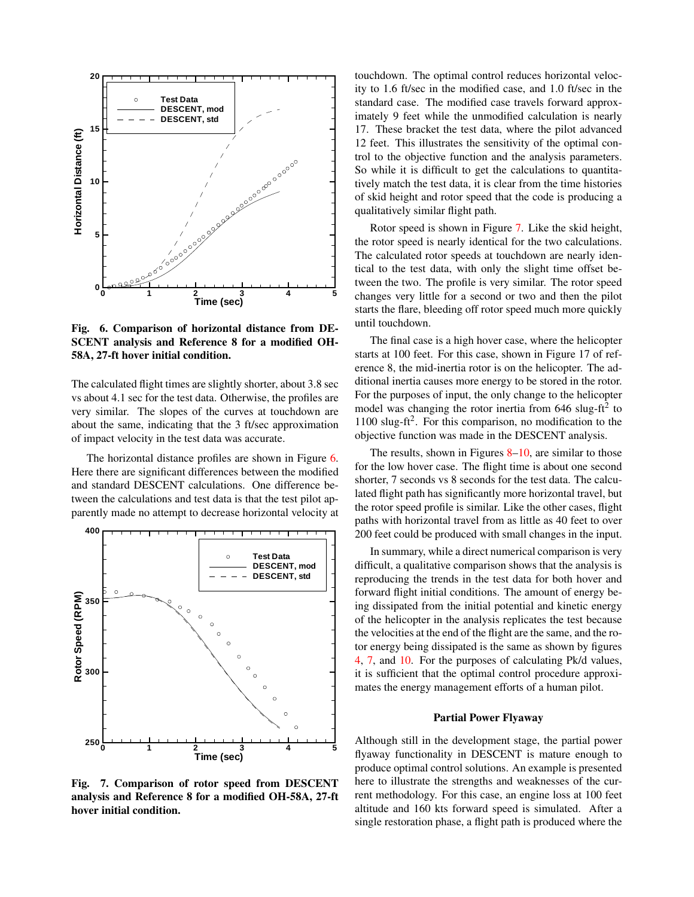

<span id="page-11-1"></span>Fig. 6. Comparison of horizontal distance from DE-SCENT analysis and Reference 8 for a modified OH-58A, 27-ft hover initial condition.

The calculated flight times are slightly shorter, about 3.8 sec vs about 4.1 sec for the test data. Otherwise, the profiles are very similar. The slopes of the curves at touchdown are about the same, indicating that the 3 ft/sec approximation of impact velocity in the test data was accurate.

The horizontal distance profiles are shown in Figure [6.](#page-11-1) Here there are significant differences between the modified and standard DESCENT calculations. One difference between the calculations and test data is that the test pilot apparently made no attempt to decrease horizontal velocity at



<span id="page-11-0"></span>Fig. 7. Comparison of rotor speed from DESCENT analysis and Reference 8 for a modified OH-58A, 27-ft hover initial condition.

touchdown. The optimal control reduces horizontal velocity to 1.6 ft/sec in the modified case, and 1.0 ft/sec in the standard case. The modified case travels forward approximately 9 feet while the unmodified calculation is nearly 17. These bracket the test data, where the pilot advanced 12 feet. This illustrates the sensitivity of the optimal control to the objective function and the analysis parameters. So while it is difficult to get the calculations to quantitatively match the test data, it is clear from the time histories of skid height and rotor speed that the code is producing a qualitatively similar flight path.

Rotor speed is shown in Figure [7.](#page-11-0) Like the skid height, the rotor speed is nearly identical for the two calculations. The calculated rotor speeds at touchdown are nearly identical to the test data, with only the slight time offset between the two. The profile is very similar. The rotor speed changes very little for a second or two and then the pilot starts the flare, bleeding off rotor speed much more quickly until touchdown.

The final case is a high hover case, where the helicopter starts at 100 feet. For this case, shown in Figure 17 of reference 8, the mid-inertia rotor is on the helicopter. The additional inertia causes more energy to be stored in the rotor. For the purposes of input, the only change to the helicopter model was changing the rotor inertia from  $646$  slug-ft<sup>2</sup> to 1100 slug-ft<sup>2</sup>. For this comparison, no modification to the objective function was made in the DESCENT analysis.

The results, shown in Figures  $8-10$  $8-10$ , are similar to those for the low hover case. The flight time is about one second shorter, 7 seconds vs 8 seconds for the test data. The calculated flight path has significantly more horizontal travel, but the rotor speed profile is similar. Like the other cases, flight paths with horizontal travel from as little as 40 feet to over 200 feet could be produced with small changes in the input.

In summary, while a direct numerical comparison is very difficult, a qualitative comparison shows that the analysis is reproducing the trends in the test data for both hover and forward flight initial conditions. The amount of energy being dissipated from the initial potential and kinetic energy of the helicopter in the analysis replicates the test because the velocities at the end of the flight are the same, and the rotor energy being dissipated is the same as shown by figures [4,](#page-10-0) [7,](#page-11-0) and [10.](#page-12-1) For the purposes of calculating Pk/d values, it is sufficient that the optimal control procedure approximates the energy management efforts of a human pilot.

#### Partial Power Flyaway

Although still in the development stage, the partial power flyaway functionality in DESCENT is mature enough to produce optimal control solutions. An example is presented here to illustrate the strengths and weaknesses of the current methodology. For this case, an engine loss at 100 feet altitude and 160 kts forward speed is simulated. After a single restoration phase, a flight path is produced where the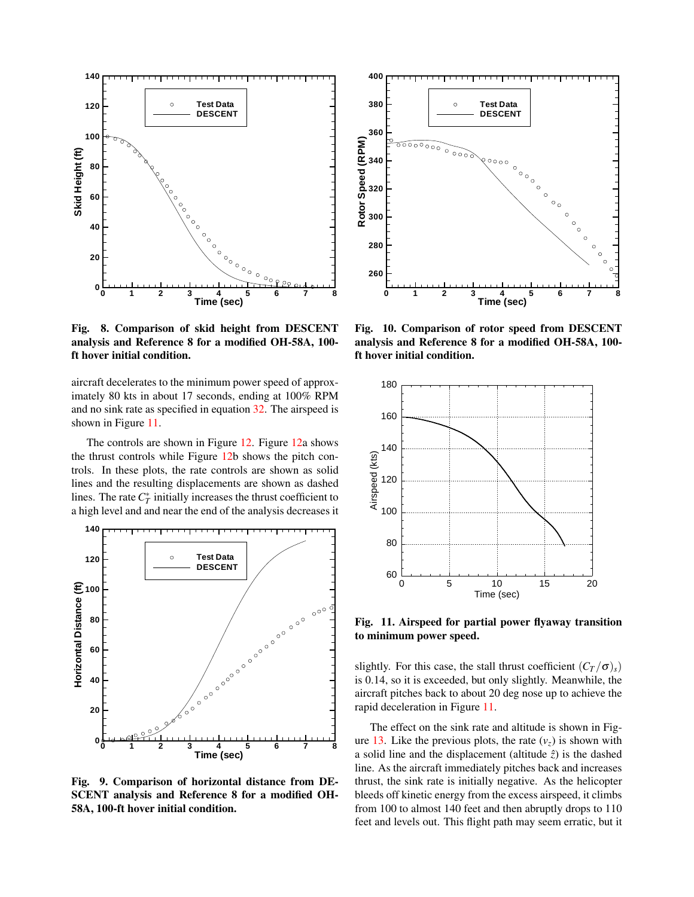

<span id="page-12-0"></span>Fig. 8. Comparison of skid height from DESCENT analysis and Reference 8 for a modified OH-58A, 100 ft hover initial condition.

aircraft decelerates to the minimum power speed of approximately 80 kts in about 17 seconds, ending at 100% RPM and no sink rate as specified in equation [32.](#page-7-2) The airspeed is shown in Figure [11.](#page-12-2)

The controls are shown in Figure [12.](#page-13-0) Figure [12a](#page-13-0) shows the thrust controls while Figure [12b](#page-13-0) shows the pitch controls. In these plots, the rate controls are shown as solid lines and the resulting displacements are shown as dashed lines. The rate  $C_T^*$  initially increases the thrust coefficient to a high level and and near the end of the analysis decreases it



Fig. 9. Comparison of horizontal distance from DE-SCENT analysis and Reference 8 for a modified OH-58A, 100-ft hover initial condition.



<span id="page-12-1"></span>Fig. 10. Comparison of rotor speed from DESCENT analysis and Reference 8 for a modified OH-58A, 100 ft hover initial condition.



<span id="page-12-2"></span>Fig. 11. Airspeed for partial power flyaway transition to minimum power speed.

slightly. For this case, the stall thrust coefficient  $(C_T / \sigma)_s$ ) is 0.14, so it is exceeded, but only slightly. Meanwhile, the aircraft pitches back to about 20 deg nose up to achieve the rapid deceleration in Figure [11.](#page-12-2)

The effect on the sink rate and altitude is shown in Fig-ure [13.](#page-13-1) Like the previous plots, the rate  $(v<sub>z</sub>)$  is shown with a solid line and the displacement (altitude  $\hat{z}$ ) is the dashed line. As the aircraft immediately pitches back and increases thrust, the sink rate is initially negative. As the helicopter bleeds off kinetic energy from the excess airspeed, it climbs from 100 to almost 140 feet and then abruptly drops to 110 feet and levels out. This flight path may seem erratic, but it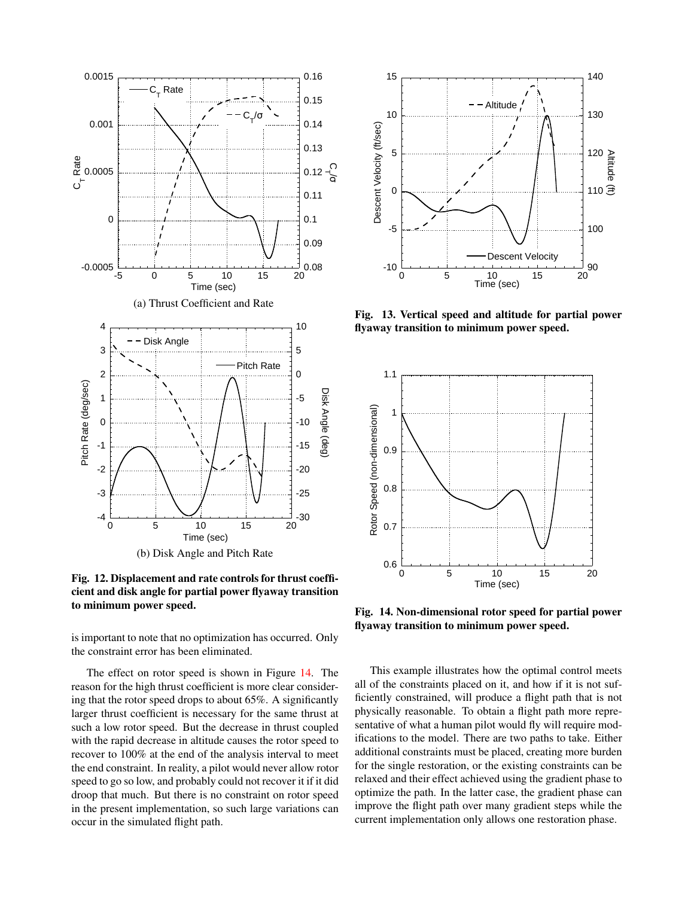

<span id="page-13-0"></span>Fig. 12. Displacement and rate controls for thrust coefficient and disk angle for partial power flyaway transition to minimum power speed.

is important to note that no optimization has occurred. Only the constraint error has been eliminated.

The effect on rotor speed is shown in Figure [14.](#page-13-2) The reason for the high thrust coefficient is more clear considering that the rotor speed drops to about 65%. A significantly larger thrust coefficient is necessary for the same thrust at such a low rotor speed. But the decrease in thrust coupled with the rapid decrease in altitude causes the rotor speed to recover to 100% at the end of the analysis interval to meet the end constraint. In reality, a pilot would never allow rotor speed to go so low, and probably could not recover it if it did droop that much. But there is no constraint on rotor speed in the present implementation, so such large variations can occur in the simulated flight path.



<span id="page-13-1"></span>Fig. 13. Vertical speed and altitude for partial power flyaway transition to minimum power speed.



<span id="page-13-2"></span>Fig. 14. Non-dimensional rotor speed for partial power flyaway transition to minimum power speed.

This example illustrates how the optimal control meets all of the constraints placed on it, and how if it is not sufficiently constrained, will produce a flight path that is not physically reasonable. To obtain a flight path more representative of what a human pilot would fly will require modifications to the model. There are two paths to take. Either additional constraints must be placed, creating more burden for the single restoration, or the existing constraints can be relaxed and their effect achieved using the gradient phase to optimize the path. In the latter case, the gradient phase can improve the flight path over many gradient steps while the current implementation only allows one restoration phase.